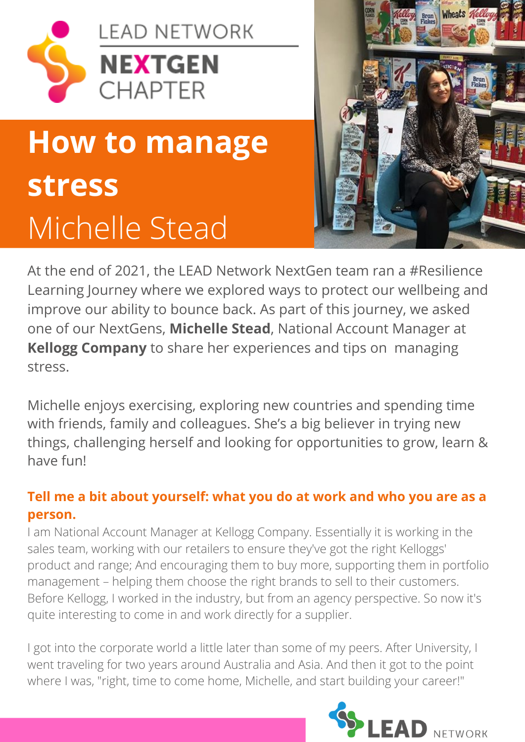

# **How to manage stress** Michelle Stead



At the end of 2021, the LEAD Network NextGen team ran a #Resilience Learning Journey where we explored ways to protect our wellbeing and improve our ability to bounce back. As part of this journey, we asked one of our NextGens, **Michelle Stead**, National Account Manager at **Kellogg Company** to share her experiences and tips on managing stress.

Michelle enjoys exercising, exploring new countries and spending time with friends, family and colleagues. She's a big believer in trying new things, challenging herself and looking for opportunities to grow, learn & have fun!

# **Tell me a bit about yourself: what you do at work and who you are as a person.**

I am National Account Manager at Kellogg Company. Essentially it is working in the sales team, working with our retailers to ensure they've got the right Kelloggs' product and range; And encouraging them to buy more, supporting them in portfolio management – helping them choose the right brands to sell to their customers. Before Kellogg, I worked in the industry, but from an agency perspective. So now it's quite interesting to come in and work directly for a supplier.

I got into the corporate world a little later than some of my peers. After University, I went traveling for two years around Australia and Asia. And then it got to the point where I was, "right, time to come home, Michelle, and start building your career!"

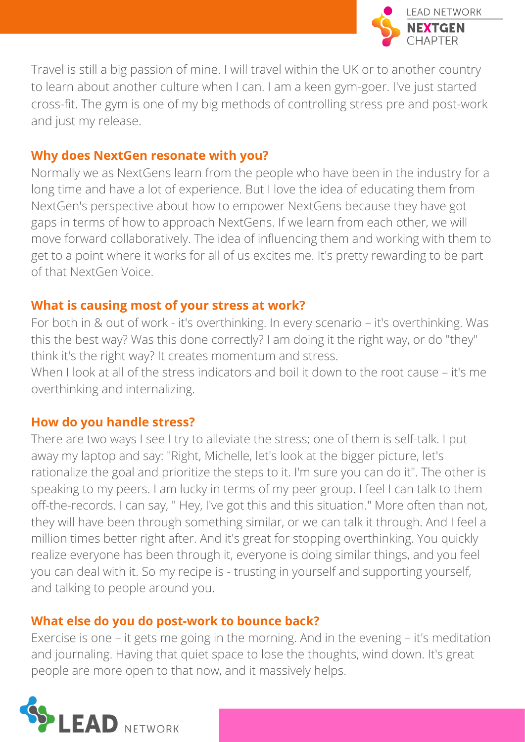

Travel is still a big passion of mine. I will travel within the UK or to another country to learn about another culture when I can. I am a keen gym-goer. I've just started cross-fit. The gym is one of my big methods of controlling stress pre and post-work and just my release.

### **Why does NextGen resonate with you?**

Normally we as NextGens learn from the people who have been in the industry for a long time and have a lot of experience. But I love the idea of educating them from NextGen's perspective about how to empower NextGens because they have got gaps in terms of how to approach NextGens. If we learn from each other, we will move forward collaboratively. The idea of influencing them and working with them to get to a point where it works for all of us excites me. It's pretty rewarding to be part of that NextGen Voice.

# **What is causing most of your stress at work?**

For both in & out of work - it's overthinking. In every scenario – it's overthinking. Was this the best way? Was this done correctly? I am doing it the right way, or do "they" think it's the right way? It creates momentum and stress.

When I look at all of the stress indicators and boil it down to the root cause – it's me overthinking and internalizing.

# **How do you handle stress?**

There are two ways I see I try to alleviate the stress; one of them is self-talk. I put away my laptop and say: "Right, Michelle, let's look at the bigger picture, let's rationalize the goal and prioritize the steps to it. I'm sure you can do it". The other is speaking to my peers. I am lucky in terms of my peer group. I feel I can talk to them off-the-records. I can say, " Hey, I've got this and this situation." More often than not, they will have been through something similar, or we can talk it through. And I feel a million times better right after. And it's great for stopping overthinking. You quickly realize everyone has been through it, everyone is doing similar things, and you feel you can deal with it. So my recipe is - trusting in yourself and supporting yourself, and talking to people around you.

# **What else do you do post-work to bounce back?**

Exercise is one – it gets me going in the morning. And in the evening – it's meditation and journaling. Having that quiet space to lose the thoughts, wind down. It's great people are more open to that now, and it massively helps.

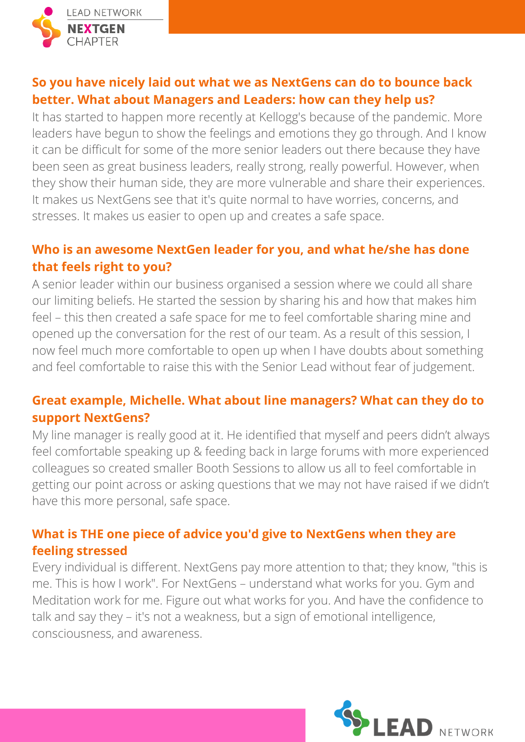

# **So you have nicely laid out what we as NextGens can do to bounce back better. What about Managers and Leaders: how can they help us?**

It has started to happen more recently at Kellogg's because of the pandemic. More leaders have begun to show the feelings and emotions they go through. And I know it can be difficult for some of the more senior leaders out there because they have been seen as great business leaders, really strong, really powerful. However, when they show their human side, they are more vulnerable and share their experiences. It makes us NextGens see that it's quite normal to have worries, concerns, and stresses. It makes us easier to open up and creates a safe space.

# **Who is an awesome NextGen leader for you, and what he/she has done that feels right to you?**

A senior leader within our business organised a session where we could all share our limiting beliefs. He started the session by sharing his and how that makes him feel – this then created a safe space for me to feel comfortable sharing mine and opened up the conversation for the rest of our team. As a result of this session, I now feel much more comfortable to open up when I have doubts about something and feel comfortable to raise this with the Senior Lead without fear of judgement.

# **Great example, Michelle. What about line managers? What can they do to support NextGens?**

My line manager is really good at it. He identified that myself and peers didn't always feel comfortable speaking up & feeding back in large forums with more experienced colleagues so created smaller Booth Sessions to allow us all to feel comfortable in getting our point across or asking questions that we may not have raised if we didn't have this more personal, safe space.

# **What is THE one piece of advice you'd give to NextGens when they are feeling stressed**

Every individual is different. NextGens pay more attention to that; they know, "this is me. This is how I work". For NextGens – understand what works for you. Gym and Meditation work for me. Figure out what works for you. And have the confidence to talk and say they – it's not a weakness, but a sign of emotional intelligence, consciousness, and awareness.